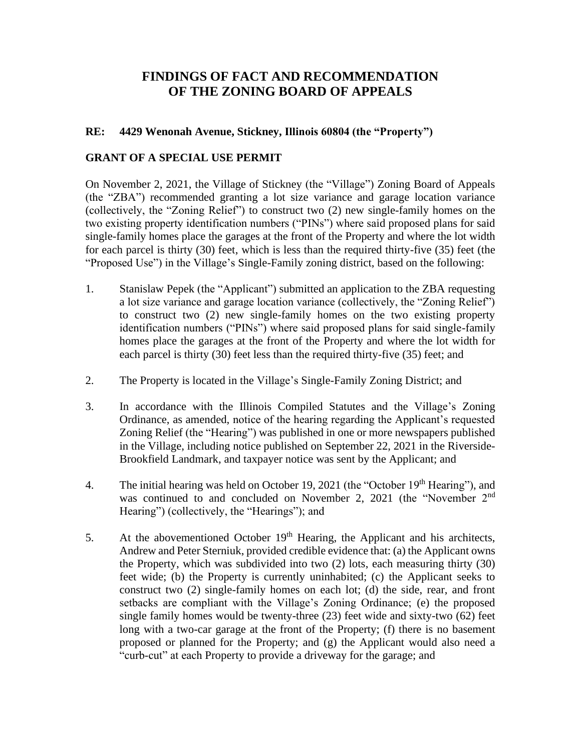## **FINDINGS OF FACT AND RECOMMENDATION OF THE ZONING BOARD OF APPEALS**

## **RE: 4429 Wenonah Avenue, Stickney, Illinois 60804 (the "Property")**

## **GRANT OF A SPECIAL USE PERMIT**

On November 2, 2021, the Village of Stickney (the "Village") Zoning Board of Appeals (the "ZBA") recommended granting a lot size variance and garage location variance (collectively, the "Zoning Relief") to construct two (2) new single-family homes on the two existing property identification numbers ("PINs") where said proposed plans for said single-family homes place the garages at the front of the Property and where the lot width for each parcel is thirty (30) feet, which is less than the required thirty-five (35) feet (the "Proposed Use") in the Village's Single-Family zoning district, based on the following:

- 1. Stanislaw Pepek (the "Applicant") submitted an application to the ZBA requesting a lot size variance and garage location variance (collectively, the "Zoning Relief") to construct two (2) new single-family homes on the two existing property identification numbers ("PINs") where said proposed plans for said single-family homes place the garages at the front of the Property and where the lot width for each parcel is thirty (30) feet less than the required thirty-five (35) feet; and
- 2. The Property is located in the Village's Single-Family Zoning District; and
- 3. In accordance with the Illinois Compiled Statutes and the Village's Zoning Ordinance, as amended, notice of the hearing regarding the Applicant's requested Zoning Relief (the "Hearing") was published in one or more newspapers published in the Village, including notice published on September 22, 2021 in the Riverside-Brookfield Landmark, and taxpayer notice was sent by the Applicant; and
- 4. The initial hearing was held on October 19, 2021 (the "October 19<sup>th</sup> Hearing"), and was continued to and concluded on November 2, 2021 (the "November 2<sup>nd</sup> Hearing") (collectively, the "Hearings"); and
- 5. At the abovementioned October  $19<sup>th</sup>$  Hearing, the Applicant and his architects, Andrew and Peter Sterniuk, provided credible evidence that: (a) the Applicant owns the Property, which was subdivided into two (2) lots, each measuring thirty (30) feet wide; (b) the Property is currently uninhabited; (c) the Applicant seeks to construct two (2) single-family homes on each lot; (d) the side, rear, and front setbacks are compliant with the Village's Zoning Ordinance; (e) the proposed single family homes would be twenty-three (23) feet wide and sixty-two (62) feet long with a two-car garage at the front of the Property; (f) there is no basement proposed or planned for the Property; and (g) the Applicant would also need a "curb-cut" at each Property to provide a driveway for the garage; and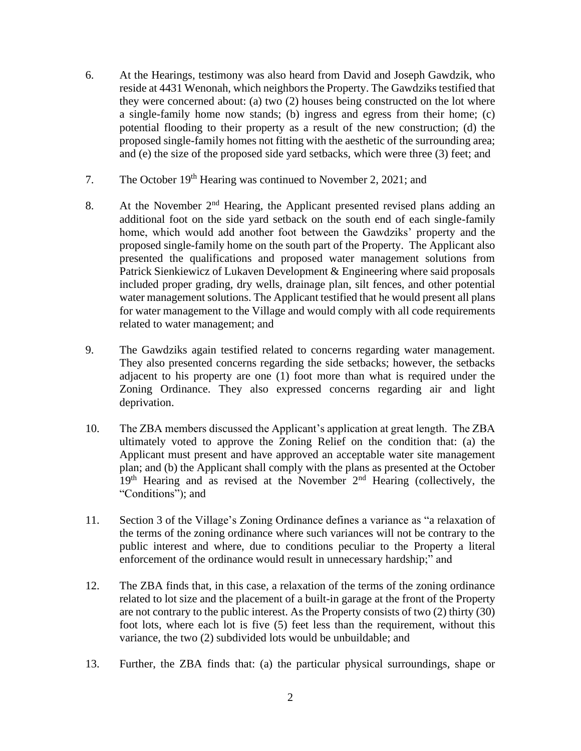- 6. At the Hearings, testimony was also heard from David and Joseph Gawdzik, who reside at 4431 Wenonah, which neighbors the Property. The Gawdziks testified that they were concerned about: (a) two (2) houses being constructed on the lot where a single-family home now stands; (b) ingress and egress from their home; (c) potential flooding to their property as a result of the new construction; (d) the proposed single-family homes not fitting with the aesthetic of the surrounding area; and (e) the size of the proposed side yard setbacks, which were three (3) feet; and
- 7. The October 19<sup>th</sup> Hearing was continued to November 2, 2021; and
- 8. At the November 2<sup>nd</sup> Hearing, the Applicant presented revised plans adding an additional foot on the side yard setback on the south end of each single-family home, which would add another foot between the Gawdziks' property and the proposed single-family home on the south part of the Property. The Applicant also presented the qualifications and proposed water management solutions from Patrick Sienkiewicz of Lukaven Development & Engineering where said proposals included proper grading, dry wells, drainage plan, silt fences, and other potential water management solutions. The Applicant testified that he would present all plans for water management to the Village and would comply with all code requirements related to water management; and
- 9. The Gawdziks again testified related to concerns regarding water management. They also presented concerns regarding the side setbacks; however, the setbacks adjacent to his property are one (1) foot more than what is required under the Zoning Ordinance. They also expressed concerns regarding air and light deprivation.
- 10. The ZBA members discussed the Applicant's application at great length. The ZBA ultimately voted to approve the Zoning Relief on the condition that: (a) the Applicant must present and have approved an acceptable water site management plan; and (b) the Applicant shall comply with the plans as presented at the October 19<sup>th</sup> Hearing and as revised at the November 2<sup>nd</sup> Hearing (collectively, the "Conditions"); and
- 11. Section 3 of the Village's Zoning Ordinance defines a variance as "a relaxation of the terms of the zoning ordinance where such variances will not be contrary to the public interest and where, due to conditions peculiar to the Property a literal enforcement of the ordinance would result in unnecessary hardship;" and
- 12. The ZBA finds that, in this case, a relaxation of the terms of the zoning ordinance related to lot size and the placement of a built-in garage at the front of the Property are not contrary to the public interest. As the Property consists of two (2) thirty (30) foot lots, where each lot is five (5) feet less than the requirement, without this variance, the two (2) subdivided lots would be unbuildable; and
- 13. Further, the ZBA finds that: (a) the particular physical surroundings, shape or